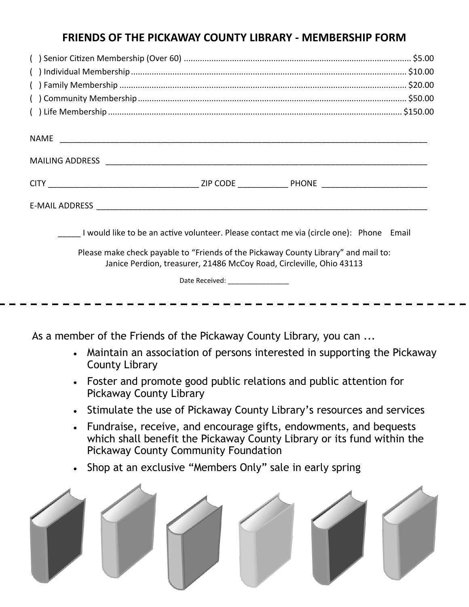## **FRIENDS OF THE PICKAWAY COUNTY LIBRARY - MEMBERSHIP FORM**

|  |                                                                      | I would like to be an active volunteer. Please contact me via (circle one): Phone Email |
|--|----------------------------------------------------------------------|-----------------------------------------------------------------------------------------|
|  | Janice Perdion, treasurer, 21486 McCoy Road, Circleville, Ohio 43113 | Please make check payable to "Friends of the Pickaway County Library" and mail to:      |
|  | Date Received: ___________________                                   |                                                                                         |
|  |                                                                      |                                                                                         |
|  |                                                                      |                                                                                         |

As a member of the Friends of the Pickaway County Library, you can ...

- Maintain an association of persons interested in supporting the Pickaway County Library
- Foster and promote good public relations and public attention for Pickaway County Library
- Stimulate the use of Pickaway County Library's resources and services
- Fundraise, receive, and encourage gifts, endowments, and bequests which shall benefit the Pickaway County Library or its fund within the Pickaway County Community Foundation
- Shop at an exclusive "Members Only" sale in early spring